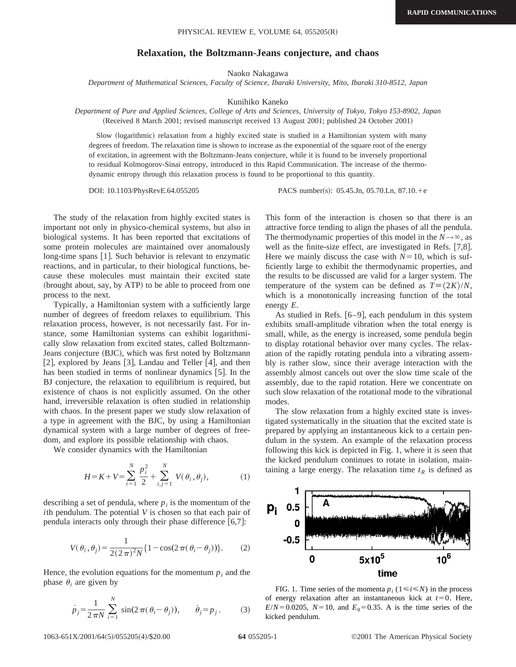## **Relaxation, the Boltzmann-Jeans conjecture, and chaos**

Naoko Nakagawa

*Department of Mathematical Sciences, Faculty of Science, Ibaraki University, Mito, Ibaraki 310-8512, Japan*

Kunihiko Kaneko

*Department of Pure and Applied Sciences, College of Arts and Sciences, University of Tokyo, Tokyo 153-8902, Japan* (Received 8 March 2001; revised manuscript received 13 August 2001; published 24 October 2001)

Slow (logarithmic) relaxation from a highly excited state is studied in a Hamiltonian system with many degrees of freedom. The relaxation time is shown to increase as the exponential of the square root of the energy of excitation, in agreement with the Boltzmann-Jeans conjecture, while it is found to be inversely proportional to residual Kolmogorov-Sinai entropy, introduced in this Rapid Communication. The increase of the thermodynamic entropy through this relaxation process is found to be proportional to this quantity.

DOI: 10.1103/PhysRevE.64.055205 PACS number(s): 05.45.Jn, 05.70.Ln, 87.10.<sup>1</sup>e

The study of the relaxation from highly excited states is important not only in physico-chemical systems, but also in biological systems. It has been reported that excitations of some protein molecules are maintained over anomalously long-time spans  $[1]$ . Such behavior is relevant to enzymatic reactions, and in particular, to their biological functions, because these molecules must maintain their excited state (brought about, say, by ATP) to be able to proceed from one process to the next.

Typically, a Hamiltonian system with a sufficiently large number of degrees of freedom relaxes to equilibrium. This relaxation process, however, is not necessarily fast. For instance, some Hamiltonian systems can exhibit logarithmically slow relaxation from excited states, called Boltzmann-Jeans conjecture (BJC), which was first noted by Boltzmann [2], explored by Jeans [3], Landau and Teller  $[4]$ , and then has been studied in terms of nonlinear dynamics  $[5]$ . In the BJ conjecture, the relaxation to equilibrium is required, but existence of chaos is not explicitly assumed. On the other hand, irreversible relaxation is often studied in relationship with chaos. In the present paper we study slow relaxation of a type in agreement with the BJC, by using a Hamiltonian dynamical system with a large number of degrees of freedom, and explore its possible relationship with chaos.

We consider dynamics with the Hamiltonian

$$
H = K + V = \sum_{i=1}^{N} \frac{p_i^2}{2} + \sum_{i,j=1}^{N} V(\theta_i, \theta_j),
$$
 (1)

describing a set of pendula, where  $p_i$  is the momentum of the *i*th pendulum. The potential *V* is chosen so that each pair of pendula interacts only through their phase difference  $[6,7]$ :

$$
V(\theta_i, \theta_j) = \frac{1}{2(2\pi)^2 N} \{ 1 - \cos(2\pi(\theta_i - \theta_j)) \}.
$$
 (2)

Hence, the evolution equations for the momentum  $p_i$  and the phase  $\theta_i$  are given by

$$
\dot{p}_j = \frac{1}{2\pi N} \sum_{i=1}^N \sin(2\pi(\theta_i - \theta_j)), \qquad \dot{\theta}_j = p_j. \tag{3}
$$

This form of the interaction is chosen so that there is an attractive force tending to align the phases of all the pendula. The thermodynamic properties of this model in the  $N \rightarrow \infty$ , as well as the finite-size effect, are investigated in Refs.  $[7,8]$ . Here we mainly discuss the case with  $N=10$ , which is sufficiently large to exhibit the thermodynamic properties, and the results to be discussed are valid for a larger system. The temperature of the system can be defined as  $T = \frac{2K}{N}$ , which is a monotonically increasing function of the total energy *E*.

As studied in Refs.  $[6-9]$ , each pendulum in this system exhibits small-amplitude vibration when the total energy is small, while, as the energy is increased, some pendula begin to display rotational behavior over many cycles. The relaxation of the rapidly rotating pendula into a vibrating assembly is rather slow, since their average interaction with the assembly almost cancels out over the slow time scale of the assembly, due to the rapid rotation. Here we concentrate on such slow relaxation of the rotational mode to the vibrational modes.

The slow relaxation from a highly excited state is investigated systematically in the situation that the excited state is prepared by applying an instantaneous kick to a certain pendulum in the system. An example of the relaxation process following this kick is depicted in Fig. 1, where it is seen that the kicked pendulum continues to rotate in isolation, maintaining a large energy. The relaxation time  $t_R$  is defined as



FIG. 1. Time series of the momenta  $p_i$  ( $1 \le i \le N$ ) in the process of energy relaxation after an instantaneous kick at  $t=0$ . Here,  $E/N = 0.0205$ ,  $N = 10$ , and  $E_0 = 0.35$ . A is the time series of the kicked pendulum.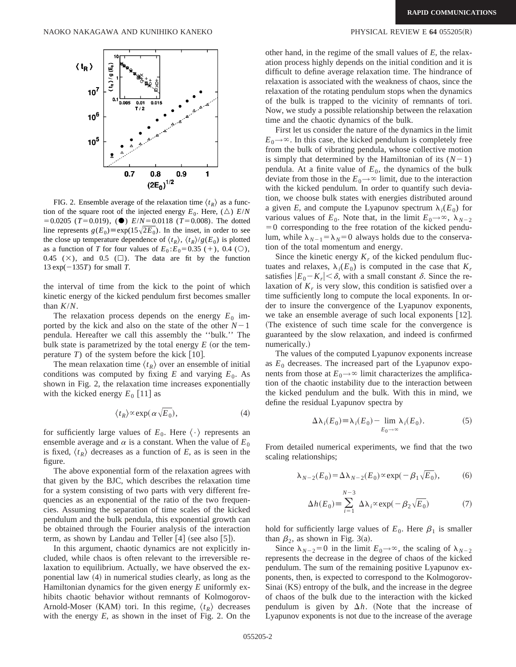

FIG. 2. Ensemble average of the relaxation time  $\langle t_R \rangle$  as a function of the square root of the injected energy  $E_0$ . Here,  $(\triangle) E/N$  $=0.0205$  (*T*=0.019), ( $\bullet$ ) *E*/*N*=0.0118 (*T*=0.008). The dotted line represents  $g(E_0) \equiv \exp(15\sqrt{2E_0})$ . In the inset, in order to see the close up temperature dependence of  $\langle t_R \rangle$ ,  $\langle t_R \rangle$ / $g(E_0)$  is plotted as a function of *T* for four values of  $E_0: E_0 = 0.35 (+)$ , 0.4 ( $\circlearrowright$ ), 0.45 ( $\times$ ), and 0.5 ( $\square$ ). The data are fit by the function 13 exp $(-135T)$  for small *T*.

the interval of time from the kick to the point of which kinetic energy of the kicked pendulum first becomes smaller than *K*/*N*.

The relaxation process depends on the energy  $E_0$  imported by the kick and also on the state of the other  $N-1$ pendula. Hereafter we call this assembly the ''bulk.'' The bulk state is parametrized by the total energy  $E$  (or the temperature  $T$ ) of the system before the kick [10].

The mean relaxation time  $\langle t_R \rangle$  over an ensemble of initial conditions was computed by fixing  $E$  and varying  $E_0$ . As shown in Fig. 2, the relaxation time increases exponentially with the kicked energy  $E_0$  [11] as

$$
\langle t_R \rangle^\infty \exp(\alpha \sqrt{E_0}),\tag{4}
$$

for sufficiently large values of  $E_0$ . Here  $\langle \cdot \rangle$  represents an ensemble average and  $\alpha$  is a constant. When the value of  $E_0$ is fixed,  $\langle t_R \rangle$  decreases as a function of *E*, as is seen in the figure.

The above exponential form of the relaxation agrees with that given by the BJC, which describes the relaxation time for a system consisting of two parts with very different frequencies as an exponential of the ratio of the two frequencies. Assuming the separation of time scales of the kicked pendulum and the bulk pendula, this exponential growth can be obtained through the Fourier analysis of the interaction term, as shown by Landau and Teller  $[4]$  (see also  $[5]$ ).

In this argument, chaotic dynamics are not explicitly included, while chaos is often relevant to the irreversible relaxation to equilibrium. Actually, we have observed the exponential law  $(4)$  in numerical studies clearly, as long as the Hamiltonian dynamics for the given energy *E* uniformly exhibits chaotic behavior without remnants of Kolmogorov-Arnold-Moser (KAM) tori. In this regime,  $\langle t_R \rangle$  decreases with the energy *E*, as shown in the inset of Fig. 2. On the

other hand, in the regime of the small values of *E*, the relaxation process highly depends on the initial condition and it is difficult to define average relaxation time. The hindrance of relaxation is associated with the weakness of chaos, since the relaxation of the rotating pendulum stops when the dynamics of the bulk is trapped to the vicinity of remnants of tori. Now, we study a possible relationship between the relaxation time and the chaotic dynamics of the bulk.

First let us consider the nature of the dynamics in the limit  $E_0 \rightarrow \infty$ . In this case, the kicked pendulum is completely free from the bulk of vibrating pendula, whose collective motion is simply that determined by the Hamiltonian of its  $(N-1)$ pendula. At a finite value of  $E_0$ , the dynamics of the bulk deviate from those in the  $E_0 \rightarrow \infty$  limit, due to the interaction with the kicked pendulum. In order to quantify such deviation, we choose bulk states with energies distributed around a given *E*, and compute the Lyapunov spectrum  $\lambda_i(E_0)$  for various values of  $E_0$ . Note that, in the limit  $E_0 \rightarrow \infty$ ,  $\lambda_{N-2}$  $=0$  corresponding to the free rotation of the kicked pendulum, while  $\lambda_{N-1} = \lambda_N = 0$  always holds due to the conservation of the total momentum and energy.

Since the kinetic energy  $K_r$  of the kicked pendulum fluctuates and relaxes,  $\lambda_i(E_0)$  is computed in the case that  $K_r$ satisfies  $|E_0-K_r| < \delta$ , with a small constant  $\delta$ . Since the relaxation of  $K_r$  is very slow, this condition is satisfied over a time sufficiently long to compute the local exponents. In order to insure the convergence of the Lyapunov exponents, we take an ensemble average of such local exponents  $[12]$ . (The existence of such time scale for the convergence is guaranteed by the slow relaxation, and indeed is confirmed numerically.)

The values of the computed Lyapunov exponents increase as  $E_0$  decreases. The increased part of the Lyapunov exponents from those at  $E_0 \rightarrow \infty$  limit characterizes the amplification of the chaotic instability due to the interaction between the kicked pendulum and the bulk. With this in mind, we define the residual Lyapunov spectra by

$$
\Delta \lambda_i(E_0) \equiv \lambda_i(E_0) - \lim_{E_0 \to \infty} \lambda_i(E_0). \tag{5}
$$

From detailed numerical experiments, we find that the two scaling relationships;

$$
\lambda_{N-2}(E_0) = \Delta \lambda_{N-2}(E_0) \propto \exp(-\beta_1 \sqrt{E_0}),\tag{6}
$$

$$
\Delta h(E_0) = \sum_{i=1}^{N-3} \Delta \lambda_i \propto \exp(-\beta_2 \sqrt{E_0})
$$
 (7)

hold for sufficiently large values of  $E_0$ . Here  $\beta_1$  is smaller than  $\beta_2$ , as shown in Fig. 3(a).

Since  $\lambda_{N-2}=0$  in the limit  $E_0\rightarrow\infty$ , the scaling of  $\lambda_{N-2}$ represents the decrease in the degree of chaos of the kicked pendulum. The sum of the remaining positive Lyapunov exponents, then, is expected to correspond to the Kolmogorov-Sinai (KS) entropy of the bulk, and the increase in the degree of chaos of the bulk due to the interaction with the kicked pendulum is given by  $\Delta h$ . (Note that the increase of Lyapunov exponents is not due to the increase of the average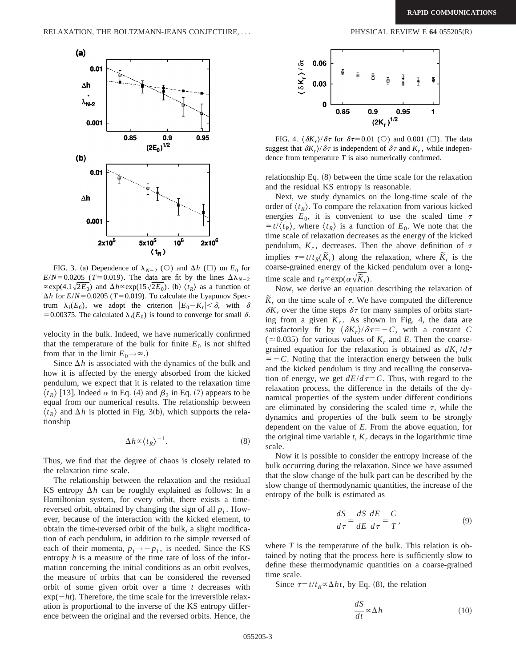

FIG. 3. (a) Dependence of  $\lambda_{N-2}$  (O) and  $\Delta h$  ( $\square$ ) on  $E_0$  for  $E/N = 0.0205$  (*T*=0.019). The data are fit by the lines  $\Delta\lambda_{N-2}$  $\propto$ exp(4.1 $\sqrt{2E_0}$ ) and  $\Delta h \propto$ exp(15 $\sqrt{2E_0}$ ). (b)  $\langle t_R \rangle$  as a function of  $\Delta h$  for  $E/N = 0.0205$  (*T* = 0.019). To calculate the Lyapunov Spectrum  $\lambda_i(E_0)$ , we adopt the criterion  $|E_0 - K_r| < \delta$ , with  $\delta$ = 0.00375. The calculated  $\lambda_i(E_0)$  is found to converge for small  $\delta$ .

velocity in the bulk. Indeed, we have numerically confirmed that the temperature of the bulk for finite  $E_0$  is not shifted from that in the limit  $E_0 \rightarrow \infty$ .)

Since  $\Delta h$  is associated with the dynamics of the bulk and how it is affected by the energy absorbed from the kicked pendulum, we expect that it is related to the relaxation time  $\langle t_R \rangle$  [13]. Indeed  $\alpha$  in Eq. (4) and  $\beta_2$  in Eq. (7) appears to be equal from our numerical results. The relationship between  $\langle t_R \rangle$  and  $\Delta h$  is plotted in Fig. 3(b), which supports the relationship

$$
\Delta h \propto \langle t_R \rangle^{-1}.
$$
 (8)

Thus, we find that the degree of chaos is closely related to the relaxation time scale.

The relationship between the relaxation and the residual KS entropy  $\Delta h$  can be roughly explained as follows: In a Hamiltonian system, for every orbit, there exists a timereversed orbit, obtained by changing the sign of all  $p_i$ . However, because of the interaction with the kicked element, to obtain the time-reversed orbit of the bulk, a slight modification of each pendulum, in addition to the simple reversed of each of their momenta,  $p_i \rightarrow -p_i$ , is needed. Since the KS entropy *h* is a measure of the time rate of loss of the information concerning the initial conditions as an orbit evolves, the measure of orbits that can be considered the reversed orbit of some given orbit over a time *t* decreases with  $\exp(-ht)$ . Therefore, the time scale for the irreversible relaxation is proportional to the inverse of the KS entropy difference between the original and the reversed orbits. Hence, the



FIG. 4.  $\langle \delta K_r \rangle / \delta \tau$  for  $\delta \tau = 0.01$  (O) and 0.001 ( $\square$ ). The data suggest that  $\delta K_r/\delta \tau$  is independent of  $\delta \tau$  and  $K_r$ , while independence from temperature *T* is also numerically confirmed.

relationship Eq.  $(8)$  between the time scale for the relaxation and the residual KS entropy is reasonable.

Next, we study dynamics on the long-time scale of the order of  $\langle t_R \rangle$ . To compare the relaxation from various kicked energies  $E_0$ , it is convenient to use the scaled time  $\tau$  $\langle t_R \rangle$ , where  $\langle t_R \rangle$  is a function of  $E_0$ . We note that the time scale of relaxation decreases as the energy of the kicked pendulum,  $K_r$ , decreases. Then the above definition of  $\tau$ implies  $\tau = t/t_R(\tilde{K}_r)$  along the relaxation, where  $\tilde{K}_r$  is the coarse-grained energy of the kicked pendulum over a longtime scale and  $t_R \propto \exp(\alpha \sqrt{\tilde{K}_r})$ .

Now, we derive an equation describing the relaxation of  $\overline{K}_r$  on the time scale of  $\tau$ . We have computed the difference  $\delta K_r$  over the time steps  $\delta \tau$  for many samples of orbits starting from a given  $K_r$ . As shown in Fig. 4, the data are satisfactorily fit by  $\langle \delta K_r \rangle/\delta \tau = -C$ , with a constant *C*  $(0.035)$  for various values of  $K_r$  and *E*. Then the coarsegrained equation for the relaxation is obtained as  $dK_r/d\tau$  $=$   $-C$ . Noting that the interaction energy between the bulk and the kicked pendulum is tiny and recalling the conservation of energy, we get  $dE/d\tau = C$ . Thus, with regard to the relaxation process, the difference in the details of the dynamical properties of the system under different conditions are eliminated by considering the scaled time  $\tau$ , while the dynamics and properties of the bulk seem to be strongly dependent on the value of *E*. From the above equation, for the original time variable  $t$ ,  $K_r$  decays in the logarithmic time scale.

Now it is possible to consider the entropy increase of the bulk occurring during the relaxation. Since we have assumed that the slow change of the bulk part can be described by the slow change of thermodynamic quantities, the increase of the entropy of the bulk is estimated as

$$
\frac{dS}{d\tau} = \frac{dS}{dE} \frac{dE}{d\tau} = \frac{C}{T},\tag{9}
$$

where *T* is the temperature of the bulk. This relation is obtained by noting that the process here is sufficiently slow to define these thermodynamic quantities on a coarse-grained time scale.

Since  $\tau = t/t_R \propto \Delta ht$ , by Eq. (8), the relation

$$
\frac{dS}{dt} \propto \Delta h \tag{10}
$$